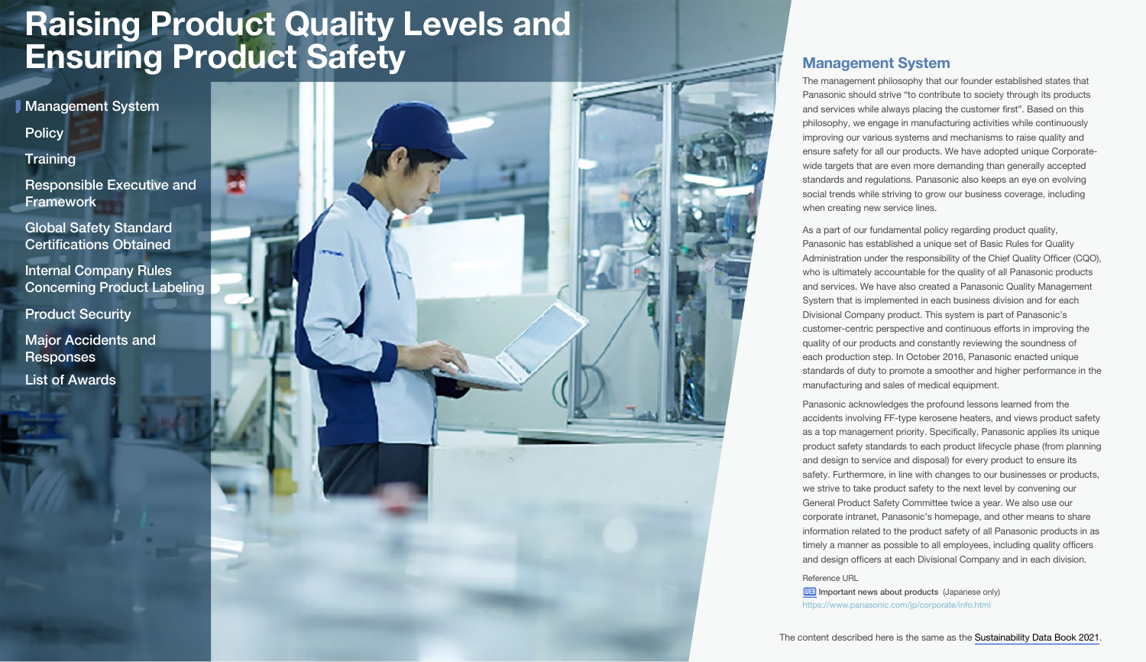<span id="page-0-0"></span>**[Policy](#page-1-0) Management System** 

**[Training](#page-1-0)** 

[Responsible Executive and](#page-2-0)  **Framework** 

[Global Safety Standard](#page-3-0)  Certifications Obtained

Internal Company Rules [Concerning Product Labeling](#page-3-0)

[Product Security](#page-3-0)

[Major Accidents and](#page-4-0)  **Responses** 

[List of Awards](#page-5-0)



## Management System

The management philosophy that our founder established states that Panasonic should strive "to contribute to society through its products and services while always placing the customer first". Based on this philosophy, we engage in manufacturing activities while continuously improving our various systems and mechanisms to raise quality and ensure safety for all our products. We have adopted unique Corporatewide targets that are even more demanding than generally accepted standards and regulations. Panasonic also keeps an eye on evolving social trends while striving to grow our business coverage, including when creating new service lines.

As a part of our fundamental policy regarding product quality, Panasonic has established a unique set of Basic Rules for Quality Administration under the responsibility of the Chief Quality Officer (CQO), who is ultimately accountable for the quality of all Panasonic products and services. We have also created a Panasonic Quality Management System that is implemented in each business division and for each Divisional Company product. This system is part of Panasonic's customer-centric perspective and continuous efforts in improving the quality of our products and constantly reviewing the soundness of each production step. In October 2016, Panasonic enacted unique standards of duty to promote a smoother and higher performance in the manufacturing and sales of medical equipment.

Panasonic acknowledges the profound lessons learned from the accidents involving FF-type kerosene heaters, and views product safety as a top management priority. Specifically, Panasonic applies its unique product safety standards to each product lifecycle phase (from planning and design to service and disposal) for every product to ensure its safety. Furthermore, in line with changes to our businesses or products, we strive to take product safety to the next level by convening our General Product Safety Committee twice a year. We also use our corporate intranet, Panasonic's homepage, and other means to share information related to the product safety of all Panasonic products in as timely a manner as possible to all employees, including quality officers and design officers at each Divisional Company and in each division.

Reference URL

**WEB** [Important news about products](https://www.panasonic.com/jp/corporate/info.html) (Japanese only) <https://www.panasonic.com/jp/corporate/info.html>

The content described here is the same as the [Sustainability Data Book 2021.](https://holdings.panasonic/global/corporate/sustainability/pdf/sdb2021e.pdf)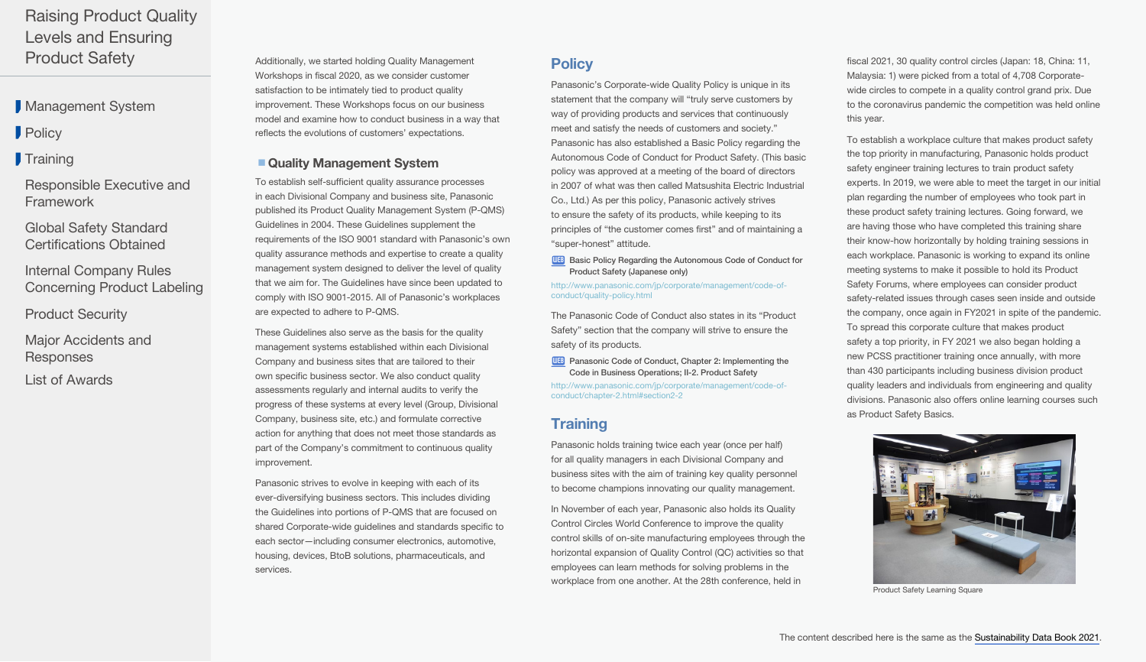<span id="page-1-0"></span>**[Management System](#page-0-0)** 

**Policy** 

## **Training**

[Responsible Executive and](#page-2-0)  Framework

[Global Safety Standard](#page-3-0)  Certifications Obtained

Internal Company Rules [Concerning Product Labeling](#page-3-0)

[Product Security](#page-3-0)

[Major Accidents and](#page-4-0)  Responses

[List of Awards](#page-5-0)

Additionally, we started holding Quality Management Workshops in fiscal 2020, as we consider customer satisfaction to be intimately tied to product quality improvement. These Workshops focus on our business model and examine how to conduct business in a way that reflects the evolutions of customers' expectations.

#### ■ Quality Management System

To establish self-sufficient quality assurance processes in each Divisional Company and business site, Panasonic published its Product Quality Management System (P-QMS) Guidelines in 2004. These Guidelines supplement the requirements of the ISO 9001 standard with Panasonic's own quality assurance methods and expertise to create a quality management system designed to deliver the level of quality that we aim for. The Guidelines have since been updated to comply with ISO 9001-2015. All of Panasonic's workplaces are expected to adhere to P-QMS.

These Guidelines also serve as the basis for the quality management systems established within each Divisional Company and business sites that are tailored to their own specific business sector. We also conduct quality assessments regularly and internal audits to verify the progress of these systems at every level (Group, Divisional Company, business site, etc.) and formulate corrective action for anything that does not meet those standards as part of the Company's commitment to continuous quality improvement.

Panasonic strives to evolve in keeping with each of its ever-diversifying business sectors. This includes dividing the Guidelines into portions of P-QMS that are focused on shared Corporate-wide guidelines and standards specific to each sector—including consumer electronics, automotive, housing, devices, BtoB solutions, pharmaceuticals, and services.

# **Policy**

Panasonic's Corporate-wide Quality Policy is unique in its statement that the company will "truly serve customers by way of providing products and services that continuously meet and satisfy the needs of customers and society." Panasonic has also established a Basic Policy regarding the Autonomous Code of Conduct for Product Safety. (This basic policy was approved at a meeting of the board of directors in 2007 of what was then called Matsushita Electric Industrial Co., Ltd.) As per this policy, Panasonic actively strives to ensure the safety of its products, while keeping to its principles of "the customer comes first" and of maintaining a "super-honest" attitude.

**WEB** Basic Policy Regarding the Autonomous Code of Conduct for [Product Safety \(Japanese only\)](http://www.panasonic.com/jp/corporate/management/code-of-conduct/quality-policy.html)

[http://www.panasonic.com/jp/corporate/management/code-of](http://www.panasonic.com/jp/corporate/management/code-of-conduct/quality-policy.html)[conduct/quality-policy.html](http://www.panasonic.com/jp/corporate/management/code-of-conduct/quality-policy.html)

The Panasonic Code of Conduct also states in its "Product Safety" section that the company will strive to ensure the safety of its products.

**WEB** Panasonic Code of Conduct, Chapter 2: Implementing the [Code in Business Operations; II-2. Product Safety](http://www.panasonic.com/jp/corporate/management/code-of-conduct/chapter-2.html#section2-2)

[http://www.panasonic.com/jp/corporate/management/code-of](http://www.panasonic.com/jp/corporate/management/code-of-conduct/chapter-2.html#section2-2)[conduct/chapter-2.html#section2-2](http://www.panasonic.com/jp/corporate/management/code-of-conduct/chapter-2.html#section2-2)

# **Training**

Panasonic holds training twice each year (once per half) for all quality managers in each Divisional Company and business sites with the aim of training key quality personnel to become champions innovating our quality management.

In November of each year, Panasonic also holds its Quality Control Circles World Conference to improve the quality control skills of on-site manufacturing employees through the horizontal expansion of Quality Control (QC) activities so that employees can learn methods for solving problems in the workplace from one another. At the 28th conference, held in

fiscal 2021, 30 quality control circles (Japan: 18, China: 11, Malaysia: 1) were picked from a total of 4,708 Corporatewide circles to compete in a quality control grand prix. Due to the coronavirus pandemic the competition was held online this year.

To establish a workplace culture that makes product safety the top priority in manufacturing, Panasonic holds product safety engineer training lectures to train product safety experts. In 2019, we were able to meet the target in our initial plan regarding the number of employees who took part in these product safety training lectures. Going forward, we are having those who have completed this training share their know-how horizontally by holding training sessions in each workplace. Panasonic is working to expand its online meeting systems to make it possible to hold its Product Safety Forums, where employees can consider product safety-related issues through cases seen inside and outside the company, once again in FY2021 in spite of the pandemic. To spread this corporate culture that makes product safety a top priority, in FY 2021 we also began holding a new PCSS practitioner training once annually, with more than 430 participants including business division product quality leaders and individuals from engineering and quality divisions. Panasonic also offers online learning courses such as Product Safety Basics.



Product Safety Learning Square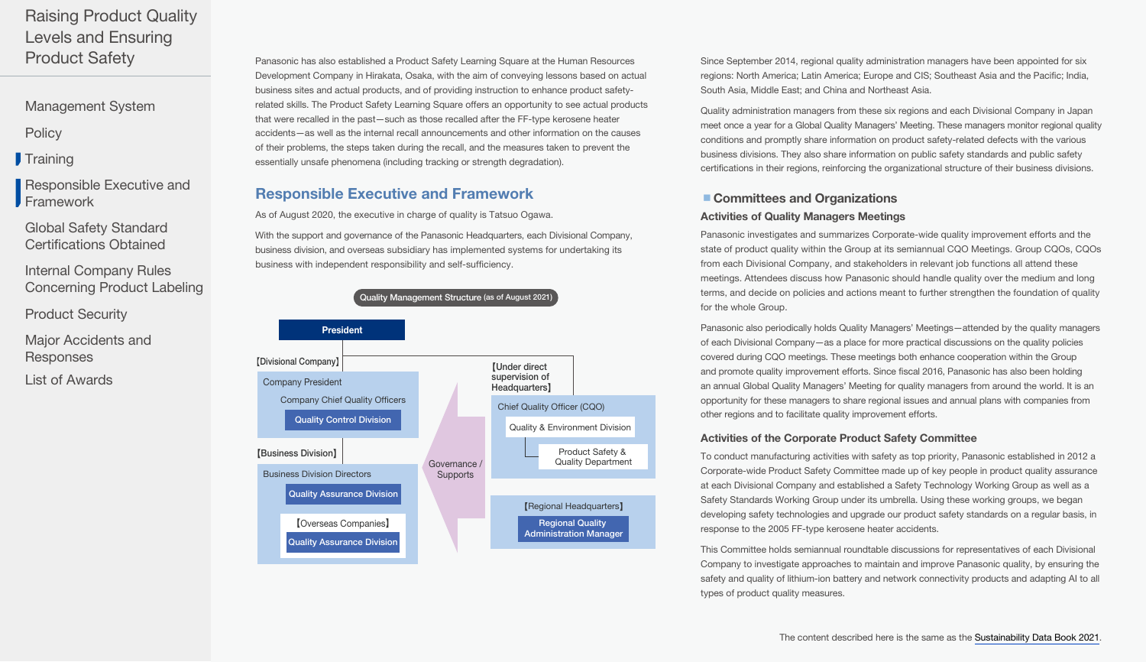<span id="page-2-0"></span>[Management System](#page-0-0)

**[Policy](#page-1-0)** 

**[Training](#page-1-0)** 

Responsible Executive and Framework

[Global Safety Standard](#page-3-0)  Certifications Obtained

Internal Company Rules [Concerning Product Labeling](#page-3-0)

[Product Security](#page-3-0)

[Major Accidents and](#page-4-0)  **Responses** 

[List of Awards](#page-5-0)

Panasonic has also established a Product Safety Learning Square at the Human Resources Development Company in Hirakata, Osaka, with the aim of conveying lessons based on actual business sites and actual products, and of providing instruction to enhance product safetyrelated skills. The Product Safety Learning Square offers an opportunity to see actual products that were recalled in the past—such as those recalled after the FF-type kerosene heater accidents—as well as the internal recall announcements and other information on the causes of their problems, the steps taken during the recall, and the measures taken to prevent the essentially unsafe phenomena (including tracking or strength degradation).

## Responsible Executive and Framework

As of August 2020, the executive in charge of quality is Tatsuo Ogawa.

With the support and governance of the Panasonic Headquarters, each Divisional Company, business division, and overseas subsidiary has implemented systems for undertaking its business with independent responsibility and self-sufficiency.



Since September 2014, regional quality administration managers have been appointed for six regions: North America; Latin America; Europe and CIS; Southeast Asia and the Pacific; India, South Asia, Middle East; and China and Northeast Asia.

Quality administration managers from these six regions and each Divisional Company in Japan meet once a year for a Global Quality Managers' Meeting. These managers monitor regional quality conditions and promptly share information on product safety-related defects with the various business divisions. They also share information on public safety standards and public safety certifications in their regions, reinforcing the organizational structure of their business divisions.

### ■ Committees and Organizations

#### Activities of Quality Managers Meetings

Panasonic investigates and summarizes Corporate-wide quality improvement efforts and the state of product quality within the Group at its semiannual CQO Meetings. Group CQOs, CQOs from each Divisional Company, and stakeholders in relevant job functions all attend these meetings. Attendees discuss how Panasonic should handle quality over the medium and long terms, and decide on policies and actions meant to further strengthen the foundation of quality for the whole Group.

Panasonic also periodically holds Quality Managers' Meetings—attended by the quality managers of each Divisional Company—as a place for more practical discussions on the quality policies covered during CQO meetings. These meetings both enhance cooperation within the Group and promote quality improvement efforts. Since fiscal 2016, Panasonic has also been holding an annual Global Quality Managers' Meeting for quality managers from around the world. It is an opportunity for these managers to share regional issues and annual plans with companies from other regions and to facilitate quality improvement efforts.

#### Activities of the Corporate Product Safety Committee

To conduct manufacturing activities with safety as top priority, Panasonic established in 2012 a Corporate-wide Product Safety Committee made up of key people in product quality assurance at each Divisional Company and established a Safety Technology Working Group as well as a Safety Standards Working Group under its umbrella. Using these working groups, we began developing safety technologies and upgrade our product safety standards on a regular basis, in response to the 2005 FF-type kerosene heater accidents.

This Committee holds semiannual roundtable discussions for representatives of each Divisional Company to investigate approaches to maintain and improve Panasonic quality, by ensuring the safety and quality of lithium-ion battery and network connectivity products and adapting AI to all types of product quality measures.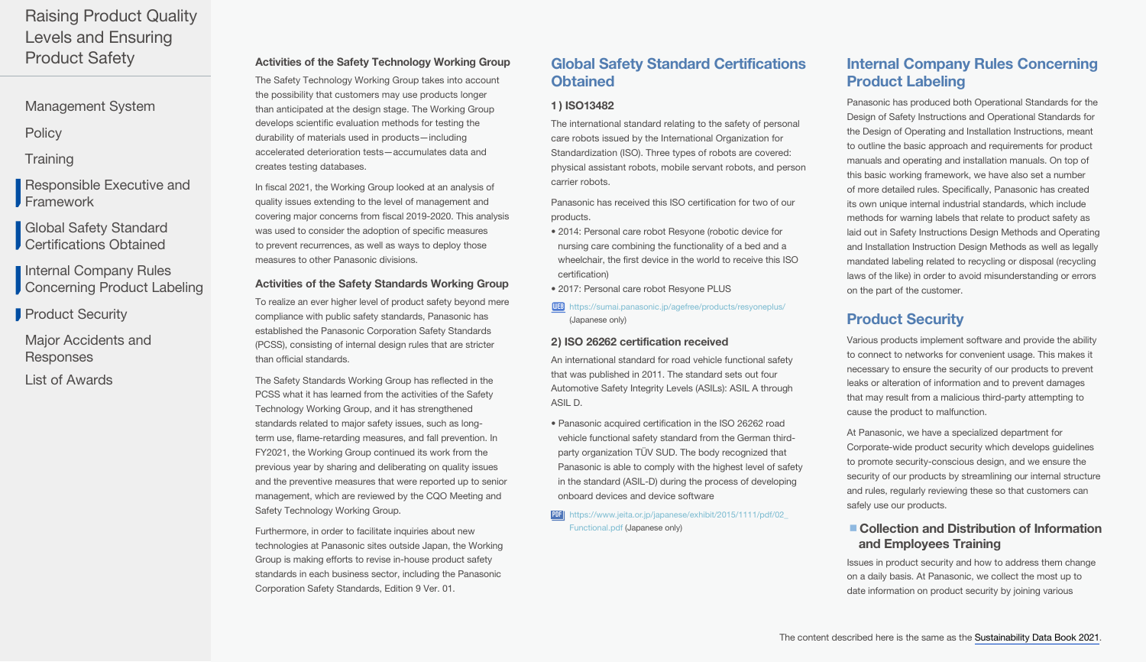<span id="page-3-0"></span>[Management System](#page-0-0)

**[Policy](#page-1-0)** 

**[Training](#page-1-0)** 

[Responsible Executive and](#page-2-0)  Framework

Global Safety Standard Certifications Obtained

Internal Company Rules **Concerning Product Labeling** 

**Product Security** 

[Major Accidents and](#page-4-0)  **Responses** 

[List of Awards](#page-5-0)

## Activities of the Safety Technology Working Group

The Safety Technology Working Group takes into account the possibility that customers may use products longer than anticipated at the design stage. The Working Group develops scientific evaluation methods for testing the durability of materials used in products—including accelerated deterioration tests—accumulates data and creates testing databases.

In fiscal 2021, the Working Group looked at an analysis of quality issues extending to the level of management and covering major concerns from fiscal 2019-2020. This analysis was used to consider the adoption of specific measures to prevent recurrences, as well as ways to deploy those measures to other Panasonic divisions.

#### Activities of the Safety Standards Working Group

To realize an ever higher level of product safety beyond mere compliance with public safety standards, Panasonic has established the Panasonic Corporation Safety Standards (PCSS), consisting of internal design rules that are stricter than official standards.

The Safety Standards Working Group has reflected in the PCSS what it has learned from the activities of the Safety Technology Working Group, and it has strengthened standards related to major safety issues, such as longterm use, flame-retarding measures, and fall prevention. In FY2021, the Working Group continued its work from the previous year by sharing and deliberating on quality issues and the preventive measures that were reported up to senior management, which are reviewed by the CQO Meeting and Safety Technology Working Group.

Furthermore, in order to facilitate inquiries about new technologies at Panasonic sites outside Japan, the Working Group is making efforts to revise in-house product safety standards in each business sector, including the Panasonic Corporation Safety Standards, Edition 9 Ver. 01.

## Global Safety Standard Certifications **Obtained**

#### 1 ) ISO13482

The international standard relating to the safety of personal care robots issued by the International Organization for Standardization (ISO). Three types of robots are covered: physical assistant robots, mobile servant robots, and person carrier robots.

Panasonic has received this ISO certification for two of our products.

- 2014: Personal care robot Resyone (robotic device for nursing care combining the functionality of a bed and a wheelchair, the first device in the world to receive this ISO certification)
- 2017: Personal care robot Resyone PLUS

WEB <https://sumai.panasonic.jp/agefree/products/resyoneplus/> [\(Japanese only\)](https://sumai.panasonic.jp/agefree/products/resyoneplus/)

#### 2) ISO 26262 certification received

An international standard for road vehicle functional safety that was published in 2011. The standard sets out four Automotive Safety Integrity Levels (ASILs): ASIL A through ASIL D.

- Panasonic acquired certification in the ISO 26262 road vehicle functional safety standard from the German thirdparty organization TÜV SUD. The body recognized that Panasonic is able to comply with the highest level of safety in the standard (ASIL-D) during the process of developing onboard devices and device software
- PDF https://www.jeita.or.jp/japanese/exhibit/2015/1111/pdf/02 [Functional.pdf \(Japanese only\)](https://www.jeita.or.jp/japanese/exhibit/2015/1111/pdf/02_Functional.pdf)

## Internal Company Rules Concerning Product Labeling

Panasonic has produced both Operational Standards for the Design of Safety Instructions and Operational Standards for the Design of Operating and Installation Instructions, meant to outline the basic approach and requirements for product manuals and operating and installation manuals. On top of this basic working framework, we have also set a number of more detailed rules. Specifically, Panasonic has created its own unique internal industrial standards, which include methods for warning labels that relate to product safety as laid out in Safety Instructions Design Methods and Operating and Installation Instruction Design Methods as well as legally mandated labeling related to recycling or disposal (recycling laws of the like) in order to avoid misunderstanding or errors on the part of the customer.

# Product Security

Various products implement software and provide the ability to connect to networks for convenient usage. This makes it necessary to ensure the security of our products to prevent leaks or alteration of information and to prevent damages that may result from a malicious third-party attempting to cause the product to malfunction.

At Panasonic, we have a specialized department for Corporate-wide product security which develops guidelines to promote security-conscious design, and we ensure the security of our products by streamlining our internal structure and rules, regularly reviewing these so that customers can safely use our products.

## ■ Collection and Distribution of Information and Employees Training

Issues in product security and how to address them change on a daily basis. At Panasonic, we collect the most up to date information on product security by joining various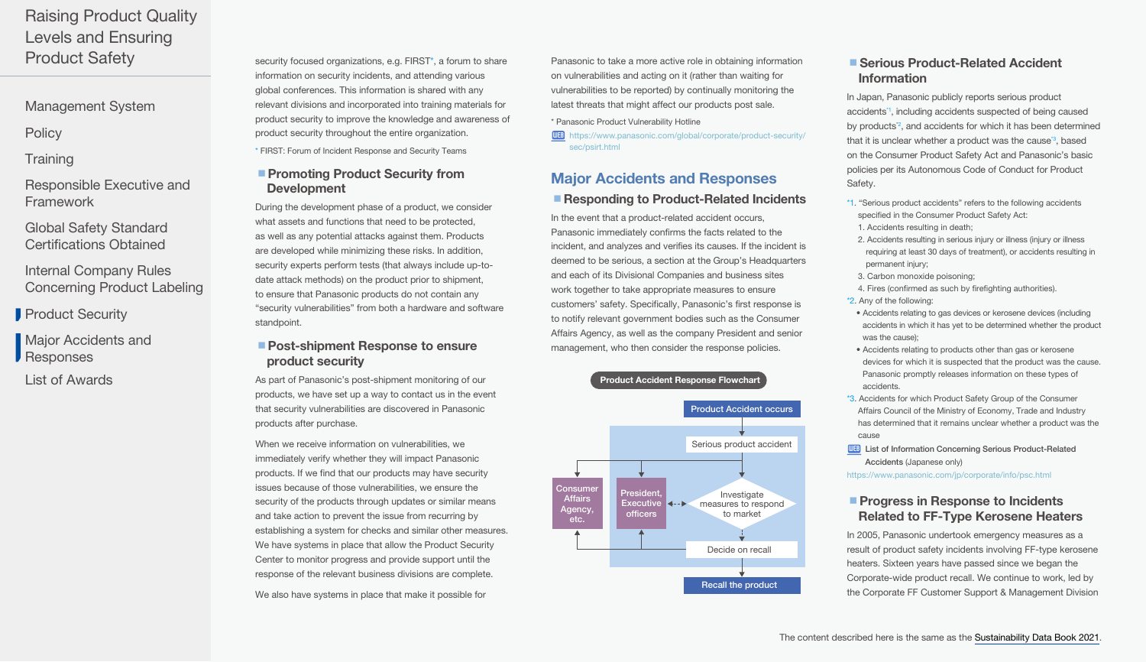<span id="page-4-0"></span>[Management System](#page-0-0)

**[Policy](#page-1-0)** 

**[Training](#page-1-0)** 

[Responsible Executive and](#page-2-0)  Framework

[Global Safety Standard](#page-3-0)  Certifications Obtained

Internal Company Rules [Concerning Product Labeling](#page-3-0)

**[Product Security](#page-3-0)** 

Major Accidents and **Responses** 

[List of Awards](#page-5-0)

security focused organizations, e.g. FIRST<sup>\*</sup>, a forum to share information on security incidents, and attending various global conferences. This information is shared with any relevant divisions and incorporated into training materials for product security to improve the knowledge and awareness of product security throughout the entire organization.

\* FIRST: Forum of Incident Response and Security Teams

## ■ Promoting Product Security from Development

During the development phase of a product, we consider what assets and functions that need to be protected, as well as any potential attacks against them. Products are developed while minimizing these risks. In addition, security experts perform tests (that always include up-todate attack methods) on the product prior to shipment, to ensure that Panasonic products do not contain any "security vulnerabilities" from both a hardware and software standpoint.

## ■ Post-shipment Response to ensure product security

As part of Panasonic's post-shipment monitoring of our products, we have set up a way to contact us in the event that security vulnerabilities are discovered in Panasonic products after purchase.

When we receive information on vulnerabilities, we immediately verify whether they will impact Panasonic products. If we find that our products may have security issues because of those vulnerabilities, we ensure the security of the products through updates or similar means and take action to prevent the issue from recurring by establishing a system for checks and similar other measures. We have systems in place that allow the Product Security Center to monitor progress and provide support until the response of the relevant business divisions are complete.

We also have systems in place that make it possible for

Panasonic to take a more active role in obtaining information on vulnerabilities and acting on it (rather than waiting for vulnerabilities to be reported) by continually monitoring the latest threats that might affect our products post sale.

\* Panasonic Product Vulnerability Hotline

WEB [https://www.panasonic.com/global/corporate/product-security/](https://www.panasonic.com/global/corporate/product-security/sec/psirt.html) [sec/psirt.html](https://www.panasonic.com/global/corporate/product-security/sec/psirt.html)

# Major Accidents and Responses ■ Responding to Product-Related Incidents

In the event that a product-related accident occurs, Panasonic immediately confirms the facts related to the incident, and analyzes and verifies its causes. If the incident is deemed to be serious, a section at the Group's Headquarters and each of its Divisional Companies and business sites work together to take appropriate measures to ensure customers' safety. Specifically, Panasonic's first response is to notify relevant government bodies such as the Consumer Affairs Agency, as well as the company President and senior management, who then consider the response policies.

#### Product Accident Response Flowchart



## ■ Serious Product-Related Accident Information

In Japan, Panasonic publicly reports serious product accidents\*1, including accidents suspected of being caused by products<sup>\*2</sup>, and accidents for which it has been determined that it is unclear whether a product was the cause<sup>3</sup>, based on the Consumer Product Safety Act and Panasonic's basic policies per its Autonomous Code of Conduct for Product Safety.

- \*1. "Serious product accidents" refers to the following accidents specified in the Consumer Product Safety Act: 1. Accidents resulting in death;
- 2. Accidents resulting in serious injury or illness (injury or illness requiring at least 30 days of treatment), or accidents resulting in permanent injury;
- 3. Carbon monoxide poisoning;
- 4. Fires (confirmed as such by firefighting authorities). \*2. Any of the following:
- Accidents relating to gas devices or kerosene devices (including accidents in which it has yet to be determined whether the product was the cause);
- Accidents relating to products other than gas or kerosene devices for which it is suspected that the product was the cause. Panasonic promptly releases information on these types of accidents.
- \*3. Accidents for which Product Safety Group of the Consumer Affairs Council of the Ministry of Economy, Trade and Industry has determined that it remains unclear whether a product was the cause
- **WEB** List of Information Concerning Serious Product-Related Accidents [\(Japanese only\)](https://www.panasonic.com/jp/corporate/info/psc.html)

<https://www.panasonic.com/jp/corporate/info/psc.html>

## **Progress in Response to Incidents** Related to FF-Type Kerosene Heaters

In 2005, Panasonic undertook emergency measures as a result of product safety incidents involving FF-type kerosene heaters. Sixteen years have passed since we began the Corporate-wide product recall. We continue to work, led by the Corporate FF Customer Support & Management Division